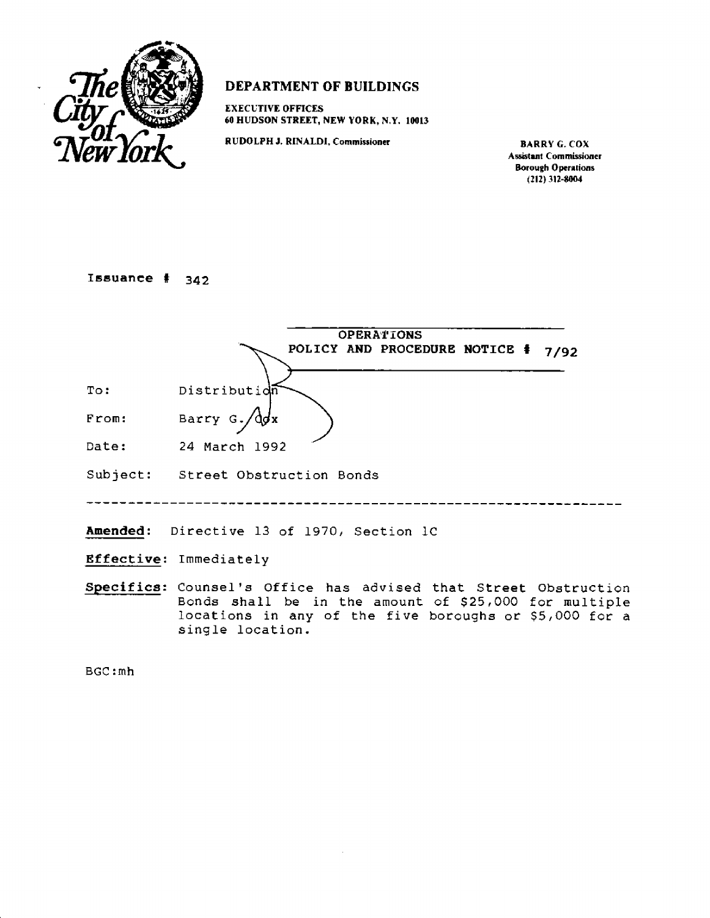

## **DEPARTMENT OF BUILDINGS**

**EXECUTIVE OFFICES 60 HUDSON STREET, NEW YORE, N.Y. 10013** 

**RUDOLPH J. RINALDI, Commissioner BARRY G. COX** 

**Assistant Commissioner Borough Operations (212) 312-8004** 

# **Issuance # 342**

|       | <b>OPERATIONS</b><br>POLICY AND PROCEDURE NOTICE #<br>7/92      |
|-------|-----------------------------------------------------------------|
| To:   | Distributidm                                                    |
| From: | Barry $G$ . $\sqrt{d}dx$                                        |
| Date: | 24 March 1992                                                   |
|       | Subject: Street Obstruction Bonds                               |
|       | Amended: Directive 13 of 1970, Section 1C                       |
|       | Effective: Immediately                                          |
|       | Specifics: Counsel's Office has advised that Street Obstruction |

Bonds shall be in the amount of \$25,000 for multiple locations in any of the five boroughs or \$5,000 for a single location.

BGC:mh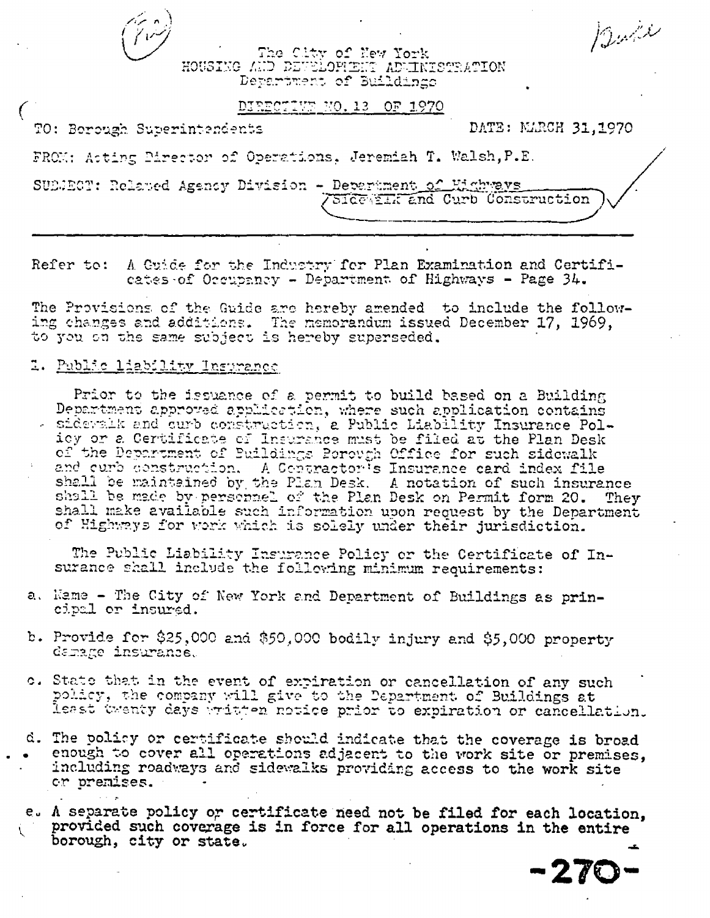The City of New York<br>HOUSING AND DEVELOPMENT ADMINISTRATION Department of Buildings

#### DIRECTIVE NO. 13 OF 1970

TO: Borough Superintendents

DATE: NARCH 31,1970

Bull

FROM: Acting Pirector of Operations, Jeremiah T. Walsh, P.E.

SUEJECT: Relayed Agency Division - Department of Highways SIGG TEXTER Curb Construction

Refer to: A Guide for the Industry for Plan Examination and Certificates of Occupancy - Department of Highways - Page 34.

The Provisions of the Guide are hereby amended to include the following changes and additions. The memorandum issued December 17, 1969,

### 2. Public liability Insurance

Prior to the issuance of a permit to build based on a Building Department approved application, where such application contains - sidewalk and curb construction, a Public Liability Insurance Policy or a Certificate of Insurance must be filed at the Plan Desk of the Department of Buildings Porough Office for such sidewalk and curb construction. A Contractor's Insurance card index file shall be maintained by the Plan Desk. A notation of such insurance shall be maintained by personnel of the Plan Desk on Permit form 20. They They shall make available such information upon request by the Department of Highways for work which is solely under their jurisdiction.

The Public Liability Insurance Policy or the Certificate of Insurance shall include the following minimum requirements:

- a. Name The City of New York and Department of Buildings as principal or insured.
- b. Provide for \$25,000 and \$50,000 bodily injury and \$5,000 property damage insurance.
- c. State that in the event of expiration or cancellation of any such policy, the company will give to the Department of Buildings at least twenty days written notice prior to expiration or cancellation.
- d. The policy or certificate should indicate that the coverage is broad enough to cover all operations adjacent to the work site or premises, including roadways and sidewalks providing access to the work site or premises.

e. A separate policy or certificate need not be filed for each location, provided such coverage is in force for all operations in the entire borough, city or state.

 $-27C$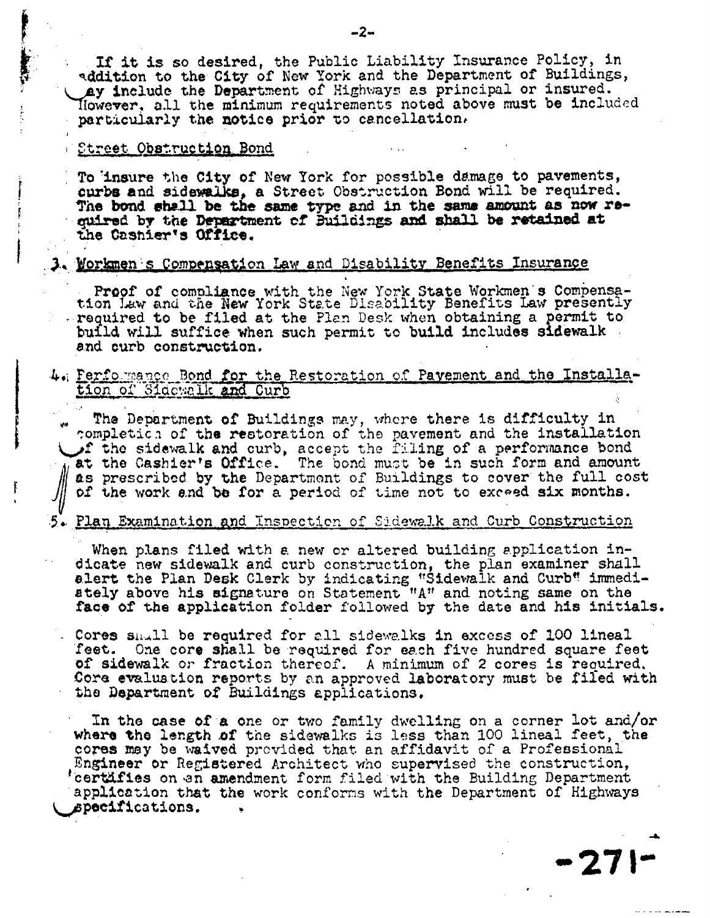**If it is so desired, the Public Liability Insurance Policy, in Addition to the City of New York and the Department of Buildings,**  Ay include the Department of Highways as principal or insured. **However. all the minimum requirements noted above must be included particularly the notice prior to cancellation,** 

### **street Obstructiop, Bond**

ļ

**To 'insure the City of New York for possible damage to pavements,**  curbs and sidewalks, a Street Obstruction Bond will be required. The **bond shall be** t**he same type and in the same amount as now required by the Department of Buildings and shall be retained at**  the Cashier's Office.

## **.3. tow.s Comoeplation Law and Disability Benefits Insurance**

Proof of compliance with the New York State Workmen's Compensa**tion Law and the New York State Disability Benefits Law presently required to be filed at the Plan Desk when obtaining a permit to build will suffice when such permit to build includes sidewalk and. curb construction.** 

## $4$ , Performance Bond for the Restoration of Pavement and the Installa**tion 2.-ci6;:;alk** *And* **Curb**

**The Department of** Buildings may, where there is **difficulty in eompletica of the restoration** of the **pavement and the installation**  f **the sidewalk and curb, accept** the **Ming of a performance bond at the Cashier's Office. The** bond must **be in such form and amount as prescribed by the Department of Buildings to cover the full cost of the work and be for a period of time not to exceed six months.** 

### 5. Plan Examination and Inspection of Sidewalk and Curb Construction

When plans filed with a new or altered building application indicate new sidewalk and curb construction, the plan examiner shall alert the Plan Desk Clerk by indicating "Sidewalk and Curb" immediately above his signature on Statement "A" and noting same on **the face of the application** folder followed by the date and his initials.

Cores sii,.11 **be required** for all sidewalks in excess of 100 lineal feet. One core shall be required for each five hundred square feet of sidewalk or fraction thereof. A minimum of 2 cores is recuired. Core evalustion reports by an approved laboratory must be filed with *the* **Department of Buildings applications.** 

**In the case of a one or two family dwelling on a corner lot and/or where the length of the sidewalks is less than** 100 lineal feet, the **cores may be waived provided that an affidavit** of a Professional Engineer or Registered Architect who supervised the construction, <sup>t</sup> bertifies on ,an amendment form filed with **the Building** Department application **that the work** conforms with the Department of **Highways specifications.** 

**••271••**